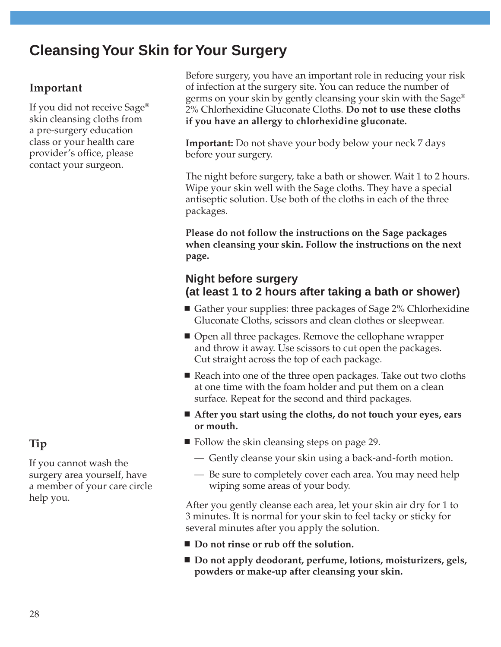# **Cleansing Your Skin for Your Surgery**

## **Important**

If you did not receive Sage® skin cleansing cloths from a pre-surgery education class or your health care provider's office, please contact your surgeon.

**Tip** If you cannot wash the surgery area yourself, have a member of your care circle Before surgery, you have an important role in reducing your risk of infection at the surgery site. You can reduce the number of germs on your skin by gently cleansing your skin with the Sage® 2% Chlorhexidine Gluconate Cloths. **Do not to use these cloths if you have an allergy to chlorhexidine gluconate.**

**Important:** Do not shave your body below your neck 7 days before your surgery.

The night before surgery, take a bath or shower. Wait 1 to 2 hours. Wipe your skin well with the Sage cloths. They have a special antiseptic solution. Use both of the cloths in each of the three packages.

**Please do not follow the instructions on the Sage packages when cleansing your skin. Follow the instructions on the next page.**

### **Night before surgery (at least 1 to 2 hours after taking a bath or shower)**

- Gather your supplies: three packages of Sage 2% Chlorhexidine Gluconate Cloths, scissors and clean clothes or sleepwear.
- Open all three packages. Remove the cellophane wrapper and throw it away. Use scissors to cut open the packages. Cut straight across the top of each package.
- Reach into one of the three open packages. Take out two cloths at one time with the foam holder and put them on a clean surface. Repeat for the second and third packages.
- **After you start using the cloths, do not touch your eyes, ears or mouth.**
- $\blacksquare$  Follow the skin cleansing steps on page 29.
	- Gently cleanse your skin using a back-and-forth motion.
	- Be sure to completely cover each area. You may need help wiping some areas of your body.

After you gently cleanse each area, let your skin air dry for 1 to 3 minutes. It is normal for your skin to feel tacky or sticky for several minutes after you apply the solution.

- Do not rinse or rub off the solution.
- Do not apply deodorant, perfume, lotions, moisturizers, gels, **powders or make-up after cleansing your skin.**

help you.